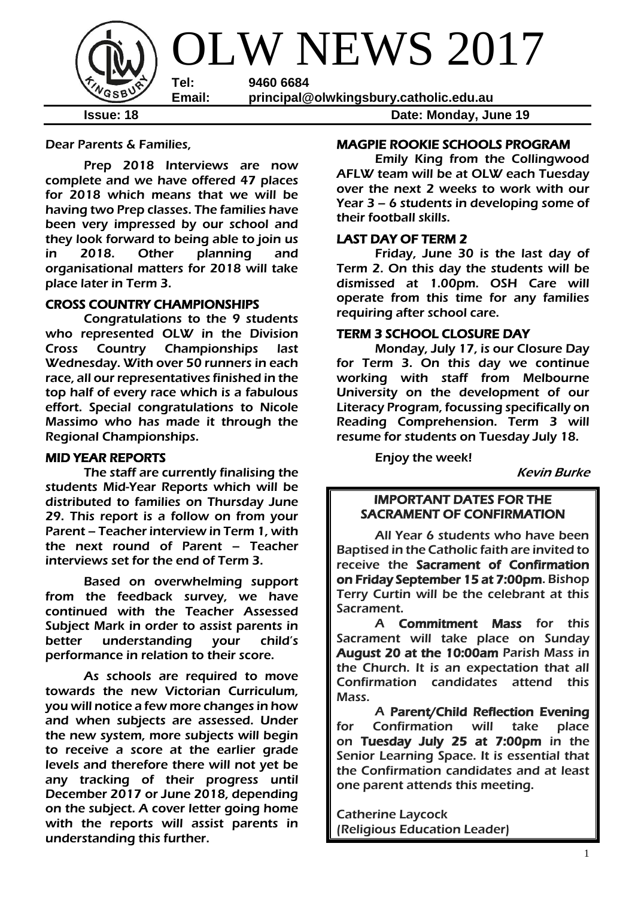

Dear Parents & Families,

Prep 2018 Interviews are now complete and we have offered 47 places for 2018 which means that we will be having two Prep classes. The families have been very impressed by our school and they look forward to being able to join us in 2018. Other planning and organisational matters for 2018 will take place later in Term 3.

## CROSS COUNTRY CHAMPIONSHIPS

 Congratulations to the 9 students who represented OLW in the Division Cross Country Championships last Wednesday. With over 50 runners in each race, all our representatives finished in the top half of every race which is a fabulous effort. Special congratulations to Nicole Massimo who has made it through the Regional Championships.

#### MID YEAR REPORTS

The staff are currently finalising the students Mid-Year Reports which will be distributed to families on Thursday June 29. This report is a follow on from your Parent – Teacher interview in Term 1, with the next round of Parent – Teacher interviews set for the end of Term 3.

Based on overwhelming support from the feedback survey, we have continued with the Teacher Assessed Subject Mark in order to assist parents in better understanding your child's performance in relation to their score.

As schools are required to move towards the new Victorian Curriculum, you will notice a few more changes in how and when subjects are assessed. Under the new system, more subjects will begin to receive a score at the earlier grade levels and therefore there will not yet be any tracking of their progress until December 2017 or June 2018, depending on the subject. A cover letter going home with the reports will assist parents in understanding this further.

## MAGPIE ROOKIE SCHOOLS PROGRAM

 Emily King from the Collingwood AFLW team will be at OLW each Tuesday over the next 2 weeks to work with our Year 3 – 6 students in developing some of their football skills.

## LAST DAY OF TERM 2

 Friday, June 30 is the last day of Term 2. On this day the students will be dismissed at 1.00pm. OSH Care will operate from this time for any families requiring after school care.

## TERM 3 SCHOOL CLOSURE DAY

Monday, July 17, is our Closure Day for Term 3. On this day we continue working with staff from Melbourne University on the development of our Literacy Program, focussing specifically on Reading Comprehension. Term 3 will resume for students on Tuesday July 18.

Enjoy the week!

Kevin Burke

## IMPORTANT DATES FOR THE SACRAMENT OF CONFIRMATION

All Year 6 students who have been Baptised in the Catholic faith are invited to receive the Sacrament of Confirmation on Friday September 15 at 7:00pm. Bishop Terry Curtin will be the celebrant at this Sacrament.

A Commitment Mass for this Sacrament will take place on Sunday August 20 at the 10:00am Parish Mass in the Church. It is an expectation that all Confirmation candidates attend this Mass.

A Parent/Child Reflection Evening for Confirmation will take place on Tuesday July 25 at 7:00pm in the Senior Learning Space. It is essential that the Confirmation candidates and at least one parent attends this meeting.

Catherine Laycock (Religious Education Leader)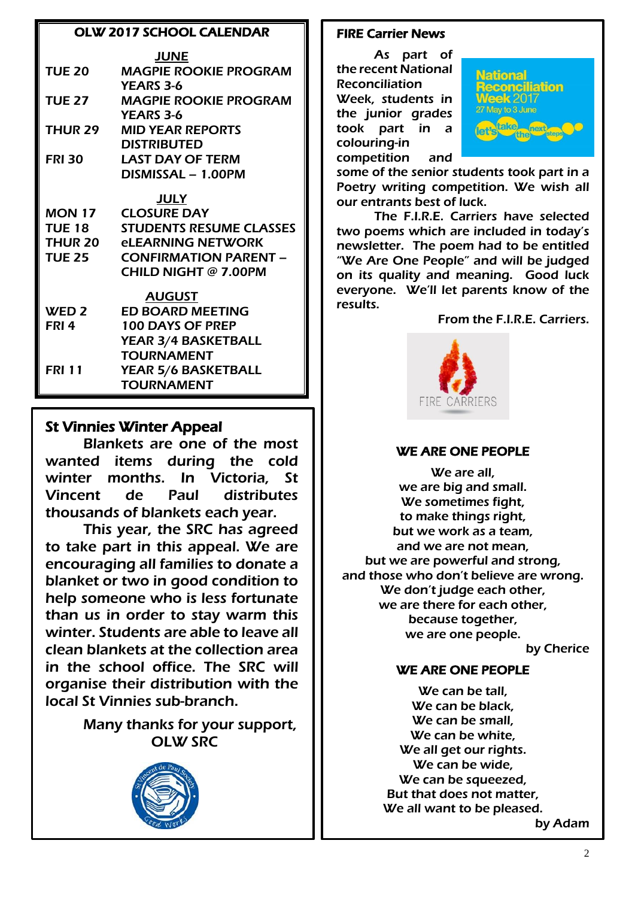## OLW 2017 SCHOOL CALENDAR

|                | <b>JUNE</b>                            |  |  |  |
|----------------|----------------------------------------|--|--|--|
| <b>TUE 20</b>  | <b>MAGPIE ROOKIE PROGRAM</b>           |  |  |  |
|                | <b>YEARS 3-6</b>                       |  |  |  |
| <b>TUE 27</b>  | <b>MAGPIE ROOKIE PROGRAM</b>           |  |  |  |
|                | <b>YEARS 3-6</b>                       |  |  |  |
| THUR 29        | <b>MID YEAR REPORTS</b>                |  |  |  |
|                | <b>DISTRIBUTED</b>                     |  |  |  |
| <b>FRI 30</b>  | <b>LAST DAY OF TERM</b>                |  |  |  |
|                | DISMISSAL - 1.00PM                     |  |  |  |
| <u>JULY</u>    |                                        |  |  |  |
| <b>MON 17</b>  | <b>CLOSURE DAY</b>                     |  |  |  |
| <b>TUE 18</b>  | <b>STUDENTS RESUME CLASSES</b>         |  |  |  |
| <b>THUR 20</b> | <b><i><u>ELEARNING NETWORK</u></i></b> |  |  |  |
| <b>TUE 25</b>  | <b>CONFIRMATION PARENT -</b>           |  |  |  |
|                | <b>CHILD NIGHT @ 7.00PM</b>            |  |  |  |
|                | <b>AUGUST</b>                          |  |  |  |
| WED 2          | <b>ED BOARD MEETING</b>                |  |  |  |
| FRI 4          | <b>100 DAYS OF PREP</b>                |  |  |  |
|                | YEAR 3/4 BASKETBALL                    |  |  |  |
|                | <b>TOURNAMENT</b>                      |  |  |  |
| FRI 11         | YEAR 5/6 BASKETBALL                    |  |  |  |
|                | <b>TOURNAMENT</b>                      |  |  |  |
|                |                                        |  |  |  |

# St Vinnies Winter Appeal

Blankets are one of the most wanted items during the cold winter months. In Victoria, St Vincent de Paul distributes thousands of blankets each year.

This year, the SRC has agreed to take part in this appeal. We are encouraging all families to donate a blanket or two in good condition to help someone who is less fortunate than us in order to stay warm this winter. Students are able to leave all clean blankets at the collection area in the school office. The SRC will organise their distribution with the local St Vinnies sub-branch.

> Many thanks for your support, OLW SRC



## FIRE Carrier News

I

As part of the recent National Reconciliation Week, students in the junior grades took part in a colouring-in competition and



some of the senior students took part in a Poetry writing competition. We wish all our entrants best of luck.

The F.I.R.E. Carriers have selected two poems which are included in today's newsletter. The poem had to be entitled "We Are One People" and will be judged on its quality and meaning. Good luck everyone. We'll let parents know of the results.

From the F.I.R.E. Carriers.



## WE ARE ONE PEOPLE

We are all, we are big and small. We sometimes fight, to make things right, but we work as a team, and we are not mean, but we are powerful and strong, and those who don't believe are wrong. We don't judge each other, we are there for each other, because together, we are one people.

by Cherice

# WE ARE ONE PEOPLE

We can be tall. We can be black, We can be small. We can be white, We all get our rights. We can be wide, We can be squeezed, But that does not matter, We all want to be pleased.

by Adam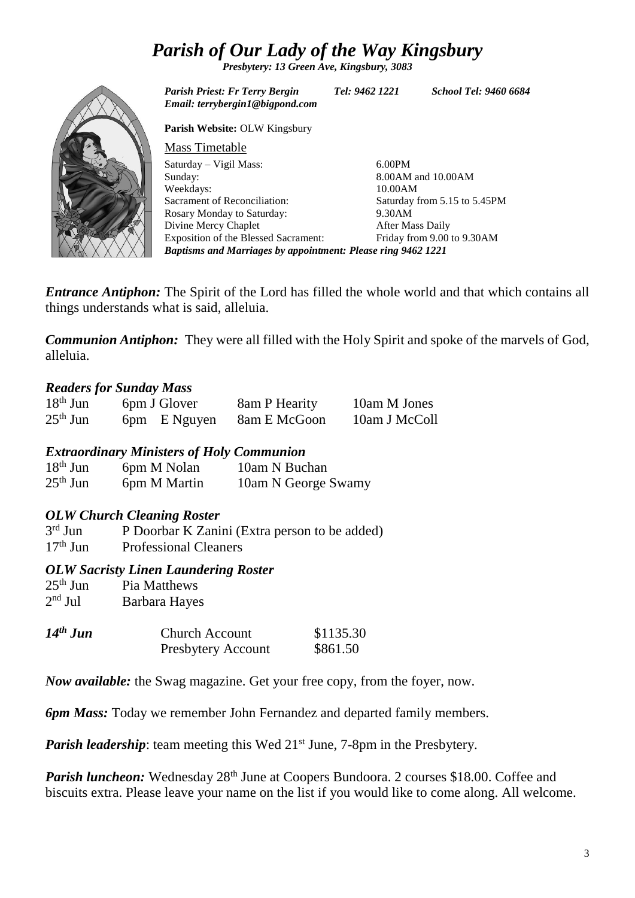# *Parish of Our Lady of the Way Kingsbury*

*Presbytery: 13 Green Ave, Kingsbury, 3083*



*Entrance Antiphon:* The Spirit of the Lord has filled the whole world and that which contains all things understands what is said, alleluia.

*Communion Antiphon:* They were all filled with the Holy Spirit and spoke of the marvels of God, alleluia.

## *Readers for Sunday Mass*

| $18th$ Jun | 6pm J Glover | 8am P Hearity | 10am M Jones  |
|------------|--------------|---------------|---------------|
| $25th$ Jun | 6pm E Nguyen | 8am E McGoon  | 10am J McColl |

## *Extraordinary Ministers of Holy Communion*

| $18th$ Jun | 6pm M Nolan  | 10am N Buchan       |
|------------|--------------|---------------------|
| $25th$ Jun | 6pm M Martin | 10am N George Swamy |

## *OLW Church Cleaning Roster*

 $3<sup>rd</sup>$  Jun P Doorbar K Zanini (Extra person to be added) 17th Jun Professional Cleaners

#### *OLW Sacristy Linen Laundering Roster*

| $25th$ Jun | Pia Matthews  |
|------------|---------------|
| $2nd$ Jul  | Barbara Hayes |
|            |               |

| $14th$ Jun | <b>Church Account</b>     | \$1135.30 |
|------------|---------------------------|-----------|
|            | <b>Presbytery Account</b> | \$861.50  |

*Now available:* the Swag magazine. Get your free copy, from the foyer, now.

*6pm Mass:* Today we remember John Fernandez and departed family members.

*Parish leadership*: team meeting this Wed 21<sup>st</sup> June, 7-8pm in the Presbytery.

*Parish luncheon:* Wednesday 28<sup>th</sup> June at Coopers Bundoora. 2 courses \$18.00. Coffee and biscuits extra. Please leave your name on the list if you would like to come along. All welcome.